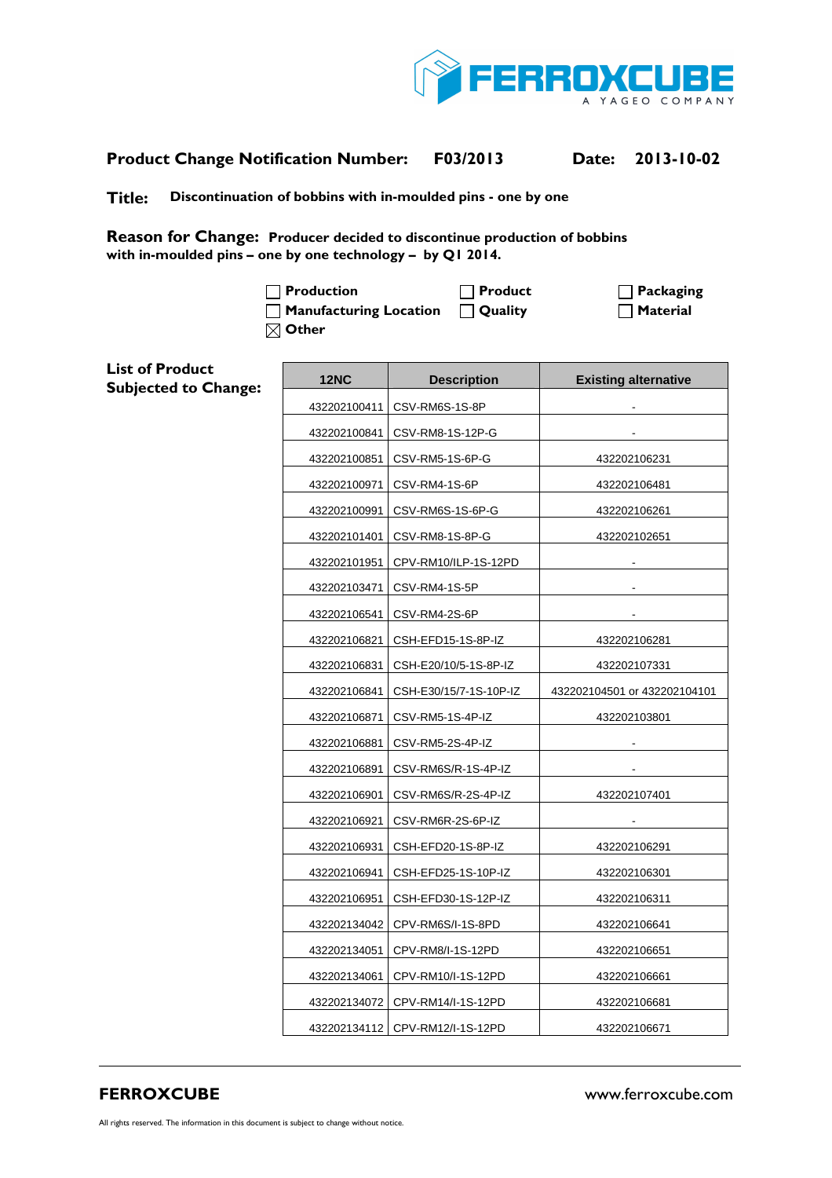

## **Product Change Notification Number: F03/2013 Date: 2013-10-02**

**Title: Discontinuation of bobbins with in-moulded pins - one by one** 

**Reason for Change: Producer decided to discontinue production of bobbins with in-moulded pins – one by one technology – by Q1 2014.** 

> □ Production **Product Product** Packaging **Manufacturing Location | Quality | Material | Material | Material | Material | Material | Material | Material | Material | Material | Material | Material | Material | Material | Material | Material | Material | Material | Other**

| <b>List of Product</b><br><b>Subjected to Change:</b> | <b>12NC</b>  | <b>Description</b>                | <b>Existing alternative</b>  |
|-------------------------------------------------------|--------------|-----------------------------------|------------------------------|
|                                                       |              | 432202100411   CSV-RM6S-1S-8P     |                              |
|                                                       | 432202100841 | CSV-RM8-1S-12P-G                  |                              |
|                                                       | 432202100851 | CSV-RM5-1S-6P-G                   | 432202106231                 |
|                                                       | 432202100971 | CSV-RM4-1S-6P                     | 432202106481                 |
|                                                       | 432202100991 | CSV-RM6S-1S-6P-G                  | 432202106261                 |
|                                                       | 432202101401 | CSV-RM8-1S-8P-G                   | 432202102651                 |
|                                                       | 432202101951 | CPV-RM10/ILP-1S-12PD              |                              |
|                                                       | 432202103471 | CSV-RM4-1S-5P                     |                              |
|                                                       | 432202106541 | CSV-RM4-2S-6P                     |                              |
|                                                       | 432202106821 | CSH-EFD15-1S-8P-IZ                | 432202106281                 |
|                                                       | 432202106831 | CSH-E20/10/5-1S-8P-IZ             | 432202107331                 |
|                                                       | 432202106841 | CSH-E30/15/7-1S-10P-IZ            | 432202104501 or 432202104101 |
|                                                       | 432202106871 | CSV-RM5-1S-4P-IZ                  | 432202103801                 |
|                                                       | 432202106881 | CSV-RM5-2S-4P-IZ                  |                              |
|                                                       | 432202106891 | CSV-RM6S/R-1S-4P-IZ               |                              |
|                                                       | 432202106901 | CSV-RM6S/R-2S-4P-IZ               | 432202107401                 |
|                                                       | 432202106921 | CSV-RM6R-2S-6P-IZ                 |                              |
|                                                       | 432202106931 | CSH-EFD20-1S-8P-IZ                | 432202106291                 |
|                                                       | 432202106941 | CSH-EFD25-1S-10P-IZ               | 432202106301                 |
|                                                       | 432202106951 | CSH-EFD30-1S-12P-IZ               | 432202106311                 |
|                                                       | 432202134042 | CPV-RM6S/I-1S-8PD                 | 432202106641                 |
|                                                       | 432202134051 | CPV-RM8/I-1S-12PD                 | 432202106651                 |
|                                                       | 432202134061 | CPV-RM10/I-1S-12PD                | 432202106661                 |
|                                                       |              | 432202134072   CPV-RM14/I-1S-12PD | 432202106681                 |
|                                                       |              | 432202134112   CPV-RM12/I-1S-12PD | 432202106671                 |